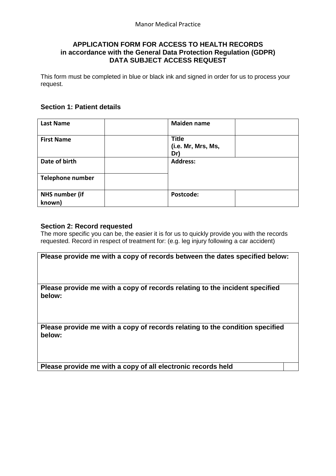# **APPLICATION FORM FOR ACCESS TO HEALTH RECORDS in accordance with the General Data Protection Regulation (GDPR) DATA SUBJECT ACCESS REQUEST**

This form must be completed in blue or black ink and signed in order for us to process your request.

## **Section 1: Patient details**

| <b>Last Name</b>                | <b>Maiden name</b>                        |
|---------------------------------|-------------------------------------------|
| <b>First Name</b>               | <b>Title</b><br>(i.e. Mr, Mrs, Ms,<br>Dr) |
| Date of birth                   | <b>Address:</b>                           |
| <b>Telephone number</b>         |                                           |
| <b>NHS number (if</b><br>known) | Postcode:                                 |

### **Section 2: Record requested**

The more specific you can be, the easier it is for us to quickly provide you with the records requested. Record in respect of treatment for: (e.g. leg injury following a car accident)

| Please provide me with a copy of records between the dates specified below:            |
|----------------------------------------------------------------------------------------|
| Please provide me with a copy of records relating to the incident specified<br>below:  |
| Please provide me with a copy of records relating to the condition specified<br>below: |

**Please provide me with a copy of all electronic records held**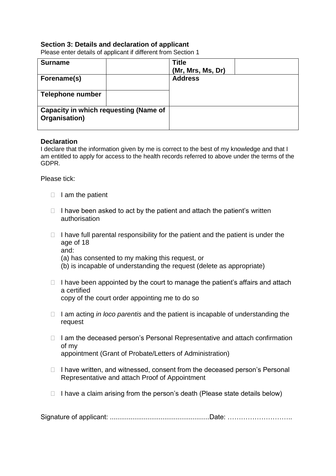# **Section 3: Details and declaration of applicant**

Please enter details of applicant if different from Section 1

| <b>Surname</b>                                                |  | <b>Title</b><br>(Mr, Mrs, Ms, Dr) |  |
|---------------------------------------------------------------|--|-----------------------------------|--|
| Forename(s)                                                   |  | <b>Address</b>                    |  |
| <b>Telephone number</b>                                       |  |                                   |  |
| <b>Capacity in which requesting (Name of</b><br>Organisation) |  |                                   |  |

#### **Declaration**

I declare that the information given by me is correct to the best of my knowledge and that I am entitled to apply for access to the health records referred to above under the terms of the GDPR.

Please tick:

- $\Box$  I am the patient
- $\Box$  I have been asked to act by the patient and attach the patient's written authorisation
- $\Box$  I have full parental responsibility for the patient and the patient is under the age of 18 and:
	- (a) has consented to my making this request, or
	- (b) is incapable of understanding the request (delete as appropriate)
- $\Box$  I have been appointed by the court to manage the patient's affairs and attach a certified copy of the court order appointing me to do so
- I am acting *in loco parentis* and the patient is incapable of understanding the request
- $\Box$  I am the deceased person's Personal Representative and attach confirmation of my appointment (Grant of Probate/Letters of Administration)
- $\Box$  I have written, and witnessed, consent from the deceased person's Personal Representative and attach Proof of Appointment
- $\Box$  I have a claim arising from the person's death (Please state details below)

Signature of applicant: .....................................................Date: ………………………..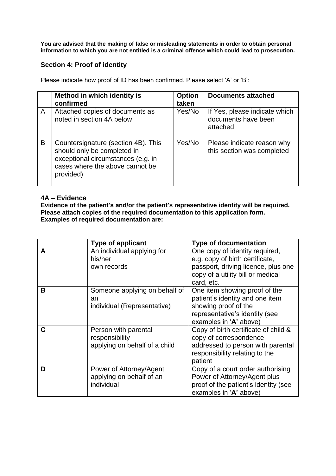**You are advised that the making of false or misleading statements in order to obtain personal information to which you are not entitled is a criminal offence which could lead to prosecution.**

# **Section 4: Proof of identity**

Please indicate how proof of ID has been confirmed. Please select 'A' or 'B':

|   | Method in which identity is<br>confirmed                                                                                                                 | <b>Option</b><br>taken | <b>Documents attached</b>                                        |
|---|----------------------------------------------------------------------------------------------------------------------------------------------------------|------------------------|------------------------------------------------------------------|
| A | Attached copies of documents as<br>noted in section 4A below                                                                                             | Yes/No                 | If Yes, please indicate which<br>documents have been<br>attached |
| B | Countersignature (section 4B). This<br>should only be completed in<br>exceptional circumstances (e.g. in<br>cases where the above cannot be<br>provided) | Yes/No                 | Please indicate reason why<br>this section was completed         |

## **4A – Evidence**

**Evidence of the patient's and/or the patient's representative identity will be required. Please attach copies of the required documentation to this application form. Examples of required documentation are:**

|   | <b>Type of applicant</b>                                                | <b>Type of documentation</b>                                                                                                                                |
|---|-------------------------------------------------------------------------|-------------------------------------------------------------------------------------------------------------------------------------------------------------|
| A | An individual applying for<br>his/her<br>own records                    | One copy of identity required,<br>e.g. copy of birth certificate,<br>passport, driving licence, plus one<br>copy of a utility bill or medical<br>card, etc. |
| В | Someone applying on behalf of<br>an<br>individual (Representative)      | One item showing proof of the<br>patient's identity and one item<br>showing proof of the<br>representative's identity (see<br>examples in 'A' above)        |
| C | Person with parental<br>responsibility<br>applying on behalf of a child | Copy of birth certificate of child &<br>copy of correspondence<br>addressed to person with parental<br>responsibility relating to the<br>patient            |
| D | Power of Attorney/Agent<br>applying on behalf of an<br>individual       | Copy of a court order authorising<br>Power of Attorney/Agent plus<br>proof of the patient's identity (see<br>examples in 'A' above)                         |